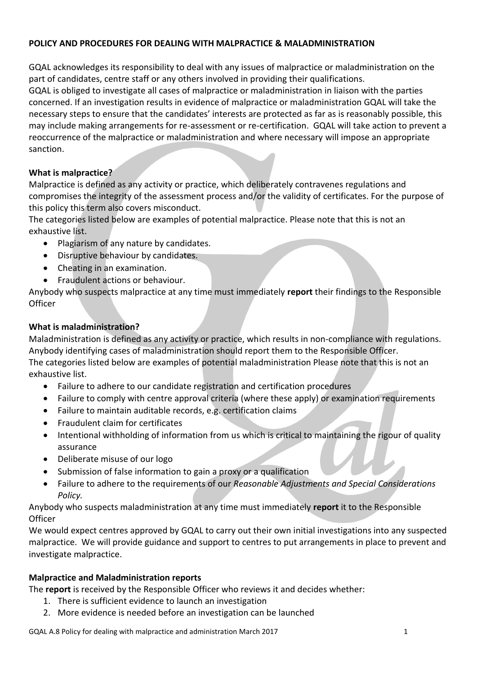#### **POLICY AND PROCEDURES FOR DEALING WITH MALPRACTICE & MALADMINISTRATION**

GQAL acknowledges its responsibility to deal with any issues of malpractice or maladministration on the part of candidates, centre staff or any others involved in providing their qualifications.

GQAL is obliged to investigate all cases of malpractice or maladministration in liaison with the parties concerned. If an investigation results in evidence of malpractice or maladministration GQAL will take the necessary steps to ensure that the candidates' interests are protected as far as is reasonably possible, this may include making arrangements for re-assessment or re-certification. GQAL will take action to prevent a reoccurrence of the malpractice or maladministration and where necessary will impose an appropriate sanction.

## **What is malpractice?**

Malpractice is defined as any activity or practice, which deliberately contravenes regulations and compromises the integrity of the assessment process and/or the validity of certificates. For the purpose of this policy this term also covers misconduct.

The categories listed below are examples of potential malpractice. Please note that this is not an exhaustive list.

- Plagiarism of any nature by candidates.
- Disruptive behaviour by candidates.
- Cheating in an examination.
- Fraudulent actions or behaviour.

Anybody who suspects malpractice at any time must immediately **report** their findings to the Responsible **Officer** 

## **What is maladministration?**

Maladministration is defined as any activity or practice, which results in non-compliance with regulations. Anybody identifying cases of maladministration should report them to the Responsible Officer. The categories listed below are examples of potential maladministration Please note that this is not an exhaustive list.

- Failure to adhere to our candidate registration and certification procedures
- Failure to comply with centre approval criteria (where these apply) or examination requirements
- Failure to maintain auditable records, e.g. certification claims
- Fraudulent claim for certificates
- Intentional withholding of information from us which is critical to maintaining the rigour of quality assurance
- Deliberate misuse of our logo
- Submission of false information to gain a proxy or a qualification
- Failure to adhere to the requirements of our *Reasonable Adjustments and Special Considerations Policy.*

Anybody who suspects maladministration at any time must immediately **report** it to the Responsible **Officer** 

We would expect centres approved by GQAL to carry out their own initial investigations into any suspected malpractice. We will provide guidance and support to centres to put arrangements in place to prevent and investigate malpractice.

## **Malpractice and Maladministration reports**

The **report** is received by the Responsible Officer who reviews it and decides whether:

- 1. There is sufficient evidence to launch an investigation
- 2. More evidence is needed before an investigation can be launched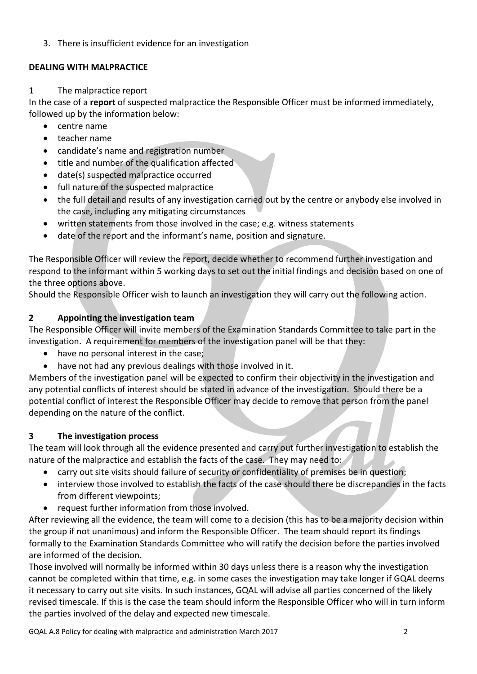3. There is insufficient evidence for an investigation

#### **DEALING WITH MALPRACTICE**

#### 1 The malpractice report

In the case of a **report** of suspected malpractice the Responsible Officer must be informed immediately, followed up by the information below:

- centre name
- teacher name
- candidate's name and registration number
- title and number of the qualification affected
- date(s) suspected malpractice occurred
- full nature of the suspected malpractice
- the full detail and results of any investigation carried out by the centre or anybody else involved in the case, including any mitigating circumstances
- written statements from those involved in the case; e.g. witness statements
- date of the report and the informant's name, position and signature.

The Responsible Officer will review the report, decide whether to recommend further investigation and respond to the informant within 5 working days to set out the initial findings and decision based on one of the three options above.

Should the Responsible Officer wish to launch an investigation they will carry out the following action.

## **2 Appointing the investigation team**

The Responsible Officer will invite members of the Examination Standards Committee to take part in the investigation. A requirement for members of the investigation panel will be that they:

- have no personal interest in the case;
- have not had any previous dealings with those involved in it.

Members of the investigation panel will be expected to confirm their objectivity in the investigation and any potential conflicts of interest should be stated in advance of the investigation. Should there be a potential conflict of interest the Responsible Officer may decide to remove that person from the panel depending on the nature of the conflict.

## **3 The investigation process**

The team will look through all the evidence presented and carry out further investigation to establish the nature of the malpractice and establish the facts of the case. They may need to:

- carry out site visits should failure of security or confidentiality of premises be in question;
- interview those involved to establish the facts of the case should there be discrepancies in the facts from different viewpoints;
- request further information from those involved.

After reviewing all the evidence, the team will come to a decision (this has to be a majority decision within the group if not unanimous) and inform the Responsible Officer. The team should report its findings formally to the Examination Standards Committee who will ratify the decision before the parties involved are informed of the decision.

Those involved will normally be informed within 30 days unless there is a reason why the investigation cannot be completed within that time, e.g. in some cases the investigation may take longer if GQAL deems it necessary to carry out site visits. In such instances, GQAL will advise all parties concerned of the likely revised timescale. If this is the case the team should inform the Responsible Officer who will in turn inform the parties involved of the delay and expected new timescale.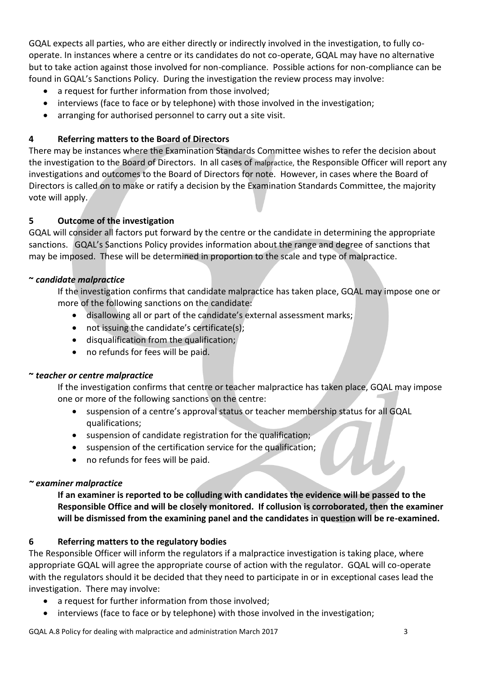GQAL expects all parties, who are either directly or indirectly involved in the investigation, to fully cooperate. In instances where a centre or its candidates do not co-operate, GQAL may have no alternative but to take action against those involved for non-compliance. Possible actions for non-compliance can be found in GQAL's Sanctions Policy. During the investigation the review process may involve:

- a request for further information from those involved;
- interviews (face to face or by telephone) with those involved in the investigation;
- arranging for authorised personnel to carry out a site visit.

## **4 Referring matters to the Board of Directors**

There may be instances where the Examination Standards Committee wishes to refer the decision about the investigation to the Board of Directors. In all cases of malpractice, the Responsible Officer will report any investigations and outcomes to the Board of Directors for note. However, in cases where the Board of Directors is called on to make or ratify a decision by the Examination Standards Committee, the majority vote will apply.

## **5 Outcome of the investigation**

GQAL will consider all factors put forward by the centre or the candidate in determining the appropriate sanctions. GQAL's Sanctions Policy provides information about the range and degree of sanctions that may be imposed. These will be determined in proportion to the scale and type of malpractice.

## **~** *candidate malpractice*

If the investigation confirms that candidate malpractice has taken place, GQAL may impose one or more of the following sanctions on the candidate:

- disallowing all or part of the candidate's external assessment marks;
- not issuing the candidate's certificate(s);
- disqualification from the qualification;
- no refunds for fees will be paid.

## **~** *teacher or centre malpractice*

If the investigation confirms that centre or teacher malpractice has taken place, GQAL may impose one or more of the following sanctions on the centre:

- suspension of a centre's approval status or teacher membership status for all GQAL qualifications;
- suspension of candidate registration for the qualification;
- suspension of the certification service for the qualification;
- no refunds for fees will be paid.

# *~ examiner malpractice*

**If an examiner is reported to be colluding with candidates the evidence will be passed to the Responsible Office and will be closely monitored. If collusion is corroborated, then the examiner will be dismissed from the examining panel and the candidates in question will be re-examined.**

## **6 Referring matters to the regulatory bodies**

The Responsible Officer will inform the regulators if a malpractice investigation is taking place, where appropriate GQAL will agree the appropriate course of action with the regulator. GQAL will co-operate with the regulators should it be decided that they need to participate in or in exceptional cases lead the investigation. There may involve:

- a request for further information from those involved;
- interviews (face to face or by telephone) with those involved in the investigation;